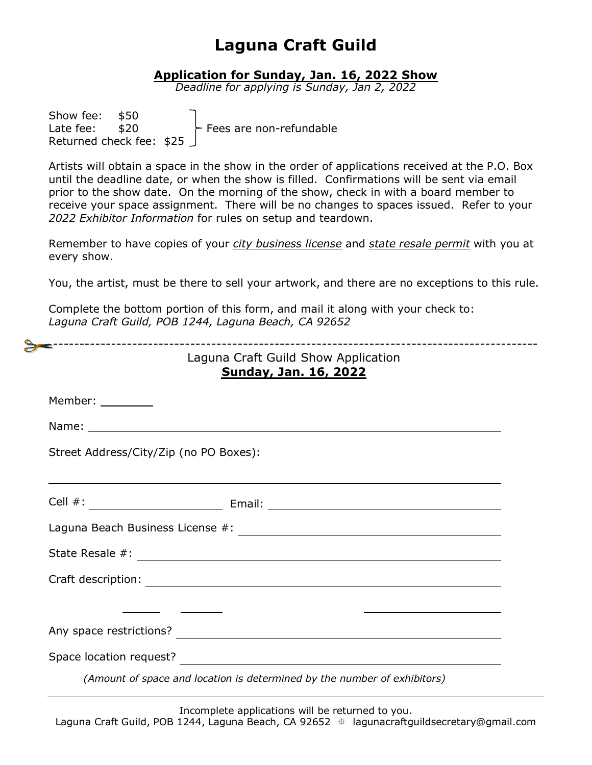#### **Application for Sunday, Jan. 16, 2022 Show**

*Deadline for applying is Sunday, Jan 2, 2022*

| Show fee: \$50            |  |                         |
|---------------------------|--|-------------------------|
| Late fee: $$20$           |  | Fees are non-refundable |
| Returned check fee: $$25$ |  |                         |

Artists will obtain a space in the show in the order of applications received at the P.O. Box until the deadline date, or when the show is filled. Confirmations will be sent via email prior to the show date. On the morning of the show, check in with a board member to receive your space assignment. There will be no changes to spaces issued. Refer to your *2022 Exhibitor Information* for rules on setup and teardown.

Remember to have copies of your *city business license* and *state resale permit* with you at every show.

You, the artist, must be there to sell your artwork, and there are no exceptions to this rule.

|                                        | Laguna Craft Guild Show Application<br><b>Sunday, Jan. 16, 2022</b>      |
|----------------------------------------|--------------------------------------------------------------------------|
| Member: ________                       |                                                                          |
|                                        |                                                                          |
| Street Address/City/Zip (no PO Boxes): |                                                                          |
|                                        |                                                                          |
|                                        | Laguna Beach Business License #: \\\efficit_\\efficit_{\math}}           |
|                                        |                                                                          |
|                                        |                                                                          |
|                                        |                                                                          |
|                                        |                                                                          |
|                                        |                                                                          |
|                                        | (Amount of space and location is determined by the number of exhibitors) |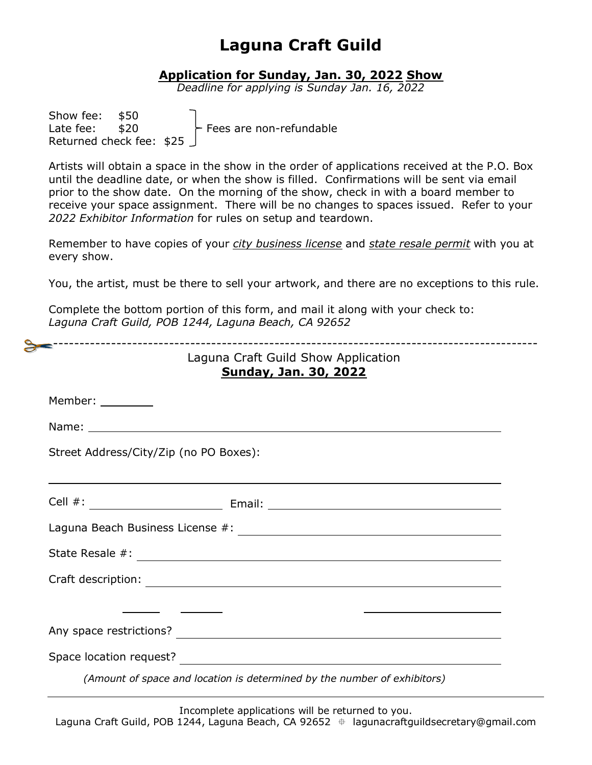#### **Application for Sunday, Jan. 30, 2022 Show**

*Deadline for applying is Sunday Jan. 16, 2022*

| Show fee: \$50  |                           |                         |
|-----------------|---------------------------|-------------------------|
| Late fee: $$20$ |                           | Fees are non-refundable |
|                 | Returned check fee: $$25$ |                         |

Artists will obtain a space in the show in the order of applications received at the P.O. Box until the deadline date, or when the show is filled. Confirmations will be sent via email prior to the show date. On the morning of the show, check in with a board member to receive your space assignment. There will be no changes to spaces issued. Refer to your *2022 Exhibitor Information* for rules on setup and teardown.

Remember to have copies of your *city business license* and *state resale permit* with you at every show.

You, the artist, must be there to sell your artwork, and there are no exceptions to this rule.

|                                        | Laguna Craft Guild Show Application<br><b>Sunday, Jan. 30, 2022</b>      |
|----------------------------------------|--------------------------------------------------------------------------|
| Member: ________                       |                                                                          |
|                                        |                                                                          |
| Street Address/City/Zip (no PO Boxes): |                                                                          |
|                                        |                                                                          |
|                                        |                                                                          |
|                                        |                                                                          |
|                                        |                                                                          |
|                                        |                                                                          |
|                                        |                                                                          |
|                                        |                                                                          |
|                                        | (Amount of space and location is determined by the number of exhibitors) |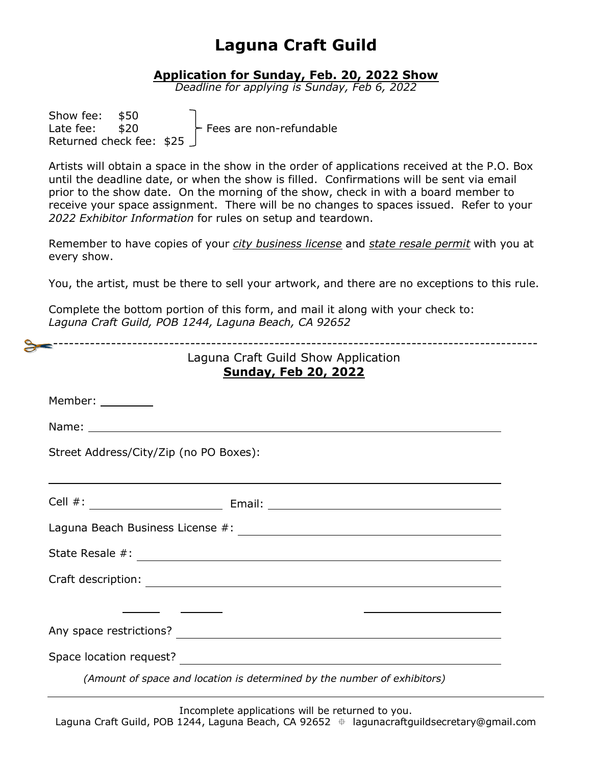#### **Application for Sunday, Feb. 20, 2022 Show**

*Deadline for applying is Sunday, Feb 6, 2022*

| Show fee: \$50  |                           |                         |
|-----------------|---------------------------|-------------------------|
| Late fee: $$20$ |                           | Fees are non-refundable |
|                 | Returned check fee: $$25$ |                         |

Artists will obtain a space in the show in the order of applications received at the P.O. Box until the deadline date, or when the show is filled. Confirmations will be sent via email prior to the show date. On the morning of the show, check in with a board member to receive your space assignment. There will be no changes to spaces issued. Refer to your *2022 Exhibitor Information* for rules on setup and teardown.

Remember to have copies of your *city business license* and *state resale permit* with you at every show.

You, the artist, must be there to sell your artwork, and there are no exceptions to this rule.

|                                        | Laguna Craft Guild Show Application<br><b>Sunday, Feb 20, 2022</b>       |
|----------------------------------------|--------------------------------------------------------------------------|
| Member: ________                       |                                                                          |
|                                        |                                                                          |
| Street Address/City/Zip (no PO Boxes): |                                                                          |
|                                        |                                                                          |
|                                        |                                                                          |
|                                        |                                                                          |
|                                        |                                                                          |
|                                        |                                                                          |
|                                        |                                                                          |
|                                        |                                                                          |
|                                        | (Amount of space and location is determined by the number of exhibitors) |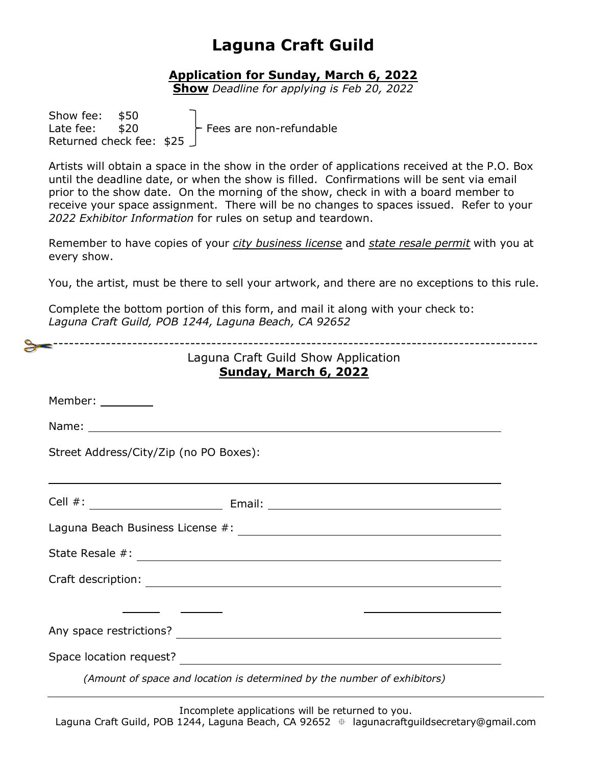#### **Application for Sunday, March 6, 2022**

**Show** *Deadline for applying is Feb 20, 2022*

Show fee: \$50 Late fee: \$20 Fees are non-refundable Returned check fee: \$25

Artists will obtain a space in the show in the order of applications received at the P.O. Box until the deadline date, or when the show is filled. Confirmations will be sent via email prior to the show date. On the morning of the show, check in with a board member to receive your space assignment. There will be no changes to spaces issued. Refer to your *2022 Exhibitor Information* for rules on setup and teardown.

Remember to have copies of your *city business license* and *state resale permit* with you at every show.

You, the artist, must be there to sell your artwork, and there are no exceptions to this rule.

Complete the bottom portion of this form, and mail it along with your check to: *Laguna Craft Guild, POB 1244, Laguna Beach, CA 92652*

| _________________<br>Laguna Craft Guild Show Application<br>Sunday, March 6, 2022 |                                                                          |  |  |  |
|-----------------------------------------------------------------------------------|--------------------------------------------------------------------------|--|--|--|
| Member: ________                                                                  |                                                                          |  |  |  |
|                                                                                   |                                                                          |  |  |  |
| Street Address/City/Zip (no PO Boxes):                                            |                                                                          |  |  |  |
|                                                                                   |                                                                          |  |  |  |
|                                                                                   |                                                                          |  |  |  |
|                                                                                   |                                                                          |  |  |  |
|                                                                                   |                                                                          |  |  |  |
|                                                                                   |                                                                          |  |  |  |
|                                                                                   |                                                                          |  |  |  |
|                                                                                   |                                                                          |  |  |  |
|                                                                                   | (Amount of space and location is determined by the number of exhibitors) |  |  |  |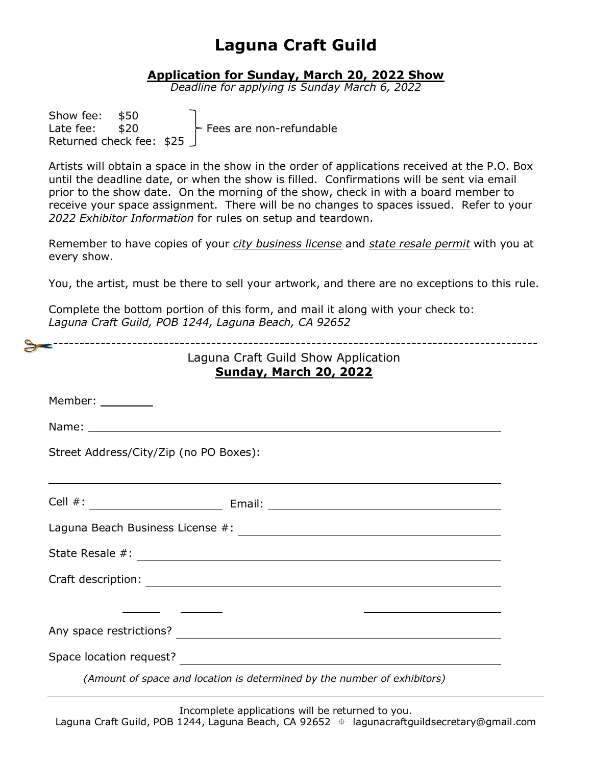#### **Application for Sunday, March 20, 2022 Show**

*Deadline for applying is Sunday March 6, 2022*

| Show fee: \$50            |  |                         |
|---------------------------|--|-------------------------|
| Late fee: $$20$           |  | Fees are non-refundable |
| Returned check fee: $$25$ |  |                         |

Artists will obtain a space in the show in the order of applications received at the P.O. Box until the deadline date, or when the show is filled. Confirmations will be sent via email prior to the show date. On the morning of the show, check in with a board member to receive your space assignment. There will be no changes to spaces issued. Refer to your *2022 Exhibitor Information* for rules on setup and teardown.

Remember to have copies of your *city business license* and *state resale permit* with you at every show.

You, the artist, must be there to sell your artwork, and there are no exceptions to this rule.

|                                        | --------------------------------------<br>Laguna Craft Guild Show Application<br><b>Sunday, March 20, 2022</b> |
|----------------------------------------|----------------------------------------------------------------------------------------------------------------|
| Member: ________                       |                                                                                                                |
|                                        |                                                                                                                |
| Street Address/City/Zip (no PO Boxes): |                                                                                                                |
|                                        |                                                                                                                |
|                                        |                                                                                                                |
|                                        |                                                                                                                |
|                                        |                                                                                                                |
|                                        |                                                                                                                |
|                                        |                                                                                                                |
|                                        |                                                                                                                |
|                                        | (Amount of space and location is determined by the number of exhibitors)                                       |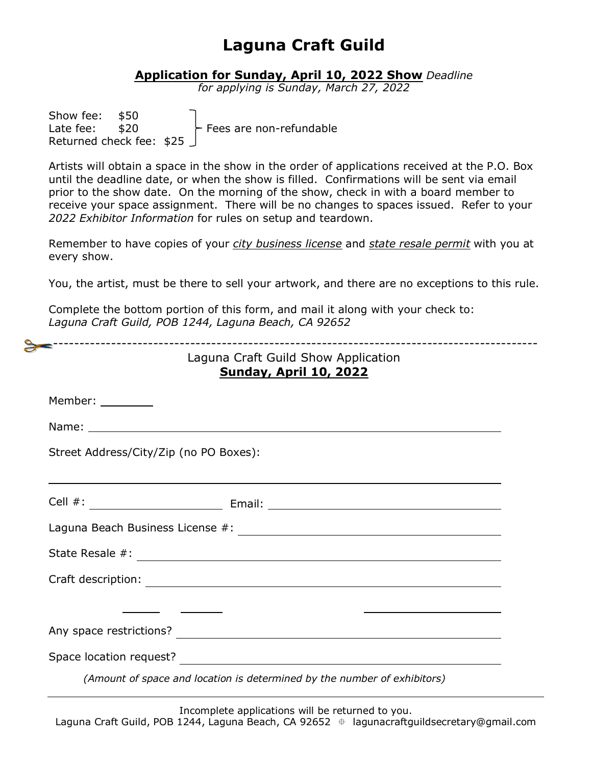#### **Application for Sunday, April 10, 2022 Show** *Deadline*

*for applying is Sunday, March 27, 2022*

| Show fee: \$50  |                           |                         |
|-----------------|---------------------------|-------------------------|
| Late fee: $$20$ |                           | Fees are non-refundable |
|                 | Returned check fee: $$25$ |                         |

Artists will obtain a space in the show in the order of applications received at the P.O. Box until the deadline date, or when the show is filled. Confirmations will be sent via email prior to the show date. On the morning of the show, check in with a board member to receive your space assignment. There will be no changes to spaces issued. Refer to your *2022 Exhibitor Information* for rules on setup and teardown.

Remember to have copies of your *city business license* and *state resale permit* with you at every show.

You, the artist, must be there to sell your artwork, and there are no exceptions to this rule.

Complete the bottom portion of this form, and mail it along with your check to: *Laguna Craft Guild, POB 1244, Laguna Beach, CA 92652*

|                                        | ----------------------------------<br>Laguna Craft Guild Show Application<br><b>Sunday, April 10, 2022</b> |
|----------------------------------------|------------------------------------------------------------------------------------------------------------|
| Member: _________                      |                                                                                                            |
|                                        |                                                                                                            |
| Street Address/City/Zip (no PO Boxes): |                                                                                                            |
|                                        |                                                                                                            |
|                                        |                                                                                                            |
|                                        |                                                                                                            |
|                                        |                                                                                                            |
|                                        |                                                                                                            |
|                                        |                                                                                                            |
|                                        |                                                                                                            |
|                                        | (Amount of space and location is determined by the number of exhibitors)                                   |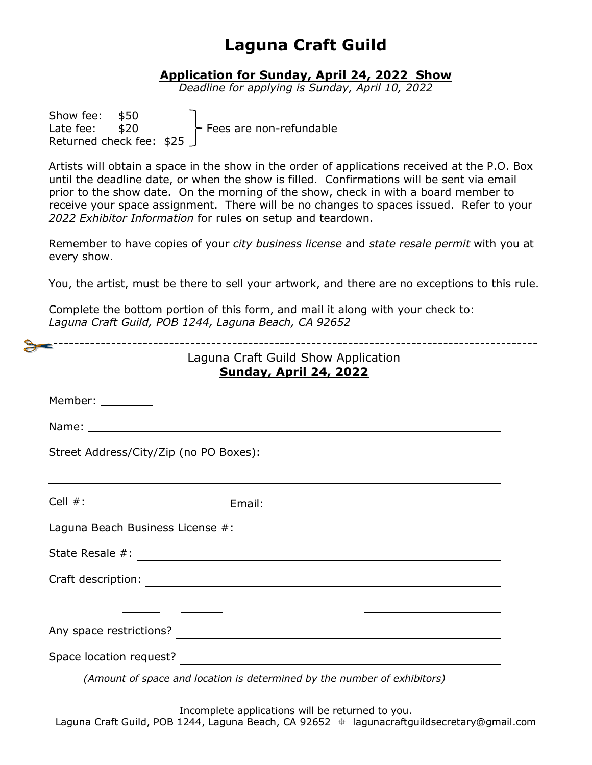#### **Application for Sunday, April 24, 2022 Show**

*Deadline for applying is Sunday, April 10, 2022*

| Show fee: \$50  |                           |                         |
|-----------------|---------------------------|-------------------------|
| Late fee: $$20$ |                           | Fees are non-refundable |
|                 | Returned check fee: $$25$ |                         |

Artists will obtain a space in the show in the order of applications received at the P.O. Box until the deadline date, or when the show is filled. Confirmations will be sent via email prior to the show date. On the morning of the show, check in with a board member to receive your space assignment. There will be no changes to spaces issued. Refer to your *2022 Exhibitor Information* for rules on setup and teardown.

Remember to have copies of your *city business license* and *state resale permit* with you at every show.

You, the artist, must be there to sell your artwork, and there are no exceptions to this rule.

Complete the bottom portion of this form, and mail it along with your check to: *Laguna Craft Guild, POB 1244, Laguna Beach, CA 92652*

|                                        | --------------------------<br>Laguna Craft Guild Show Application<br><b>Sunday, April 24, 2022</b>             |
|----------------------------------------|----------------------------------------------------------------------------------------------------------------|
| Member: ________                       |                                                                                                                |
|                                        |                                                                                                                |
| Street Address/City/Zip (no PO Boxes): |                                                                                                                |
|                                        |                                                                                                                |
|                                        |                                                                                                                |
|                                        |                                                                                                                |
|                                        |                                                                                                                |
|                                        |                                                                                                                |
|                                        |                                                                                                                |
|                                        | Space location request? The Contract of Contract of Contract of Contract of Contract of Contract of Contract o |
|                                        | (Amount of space and location is determined by the number of exhibitors)                                       |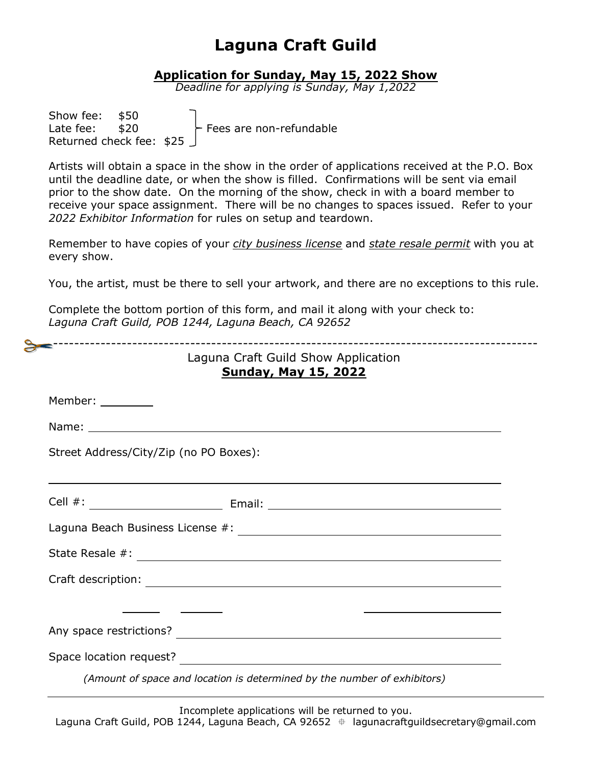#### **Application for Sunday, May 15, 2022 Show**

*Deadline for applying is Sunday, May 1,2022*

| Show fee: \$50            |  |                         |
|---------------------------|--|-------------------------|
| Late fee: $$20$           |  | Fees are non-refundable |
| Returned check fee: $$25$ |  |                         |

Artists will obtain a space in the show in the order of applications received at the P.O. Box until the deadline date, or when the show is filled. Confirmations will be sent via email prior to the show date. On the morning of the show, check in with a board member to receive your space assignment. There will be no changes to spaces issued. Refer to your *2022 Exhibitor Information* for rules on setup and teardown.

Remember to have copies of your *city business license* and *state resale permit* with you at every show.

You, the artist, must be there to sell your artwork, and there are no exceptions to this rule.

Complete the bottom portion of this form, and mail it along with your check to: *Laguna Craft Guild, POB 1244, Laguna Beach, CA 92652*

|                                        | Laguna Craft Guild Show Application<br><b>Sunday, May 15, 2022</b>       |
|----------------------------------------|--------------------------------------------------------------------------|
| Member: _________                      |                                                                          |
|                                        |                                                                          |
| Street Address/City/Zip (no PO Boxes): |                                                                          |
|                                        |                                                                          |
|                                        |                                                                          |
|                                        |                                                                          |
|                                        |                                                                          |
|                                        |                                                                          |
|                                        |                                                                          |
|                                        | Space location request?                                                  |
|                                        | (Amount of space and location is determined by the number of exhibitors) |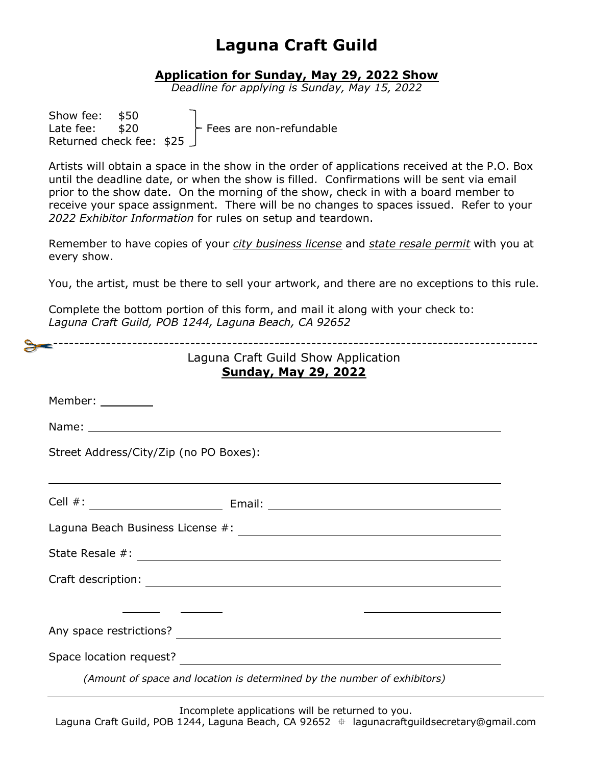#### **Application for Sunday, May 29, 2022 Show**

*Deadline for applying is Sunday, May 15, 2022*

| Show fee: \$50            |  |                         |
|---------------------------|--|-------------------------|
| Late fee: $$20$           |  | Fees are non-refundable |
| Returned check fee: $$25$ |  |                         |

Artists will obtain a space in the show in the order of applications received at the P.O. Box until the deadline date, or when the show is filled. Confirmations will be sent via email prior to the show date. On the morning of the show, check in with a board member to receive your space assignment. There will be no changes to spaces issued. Refer to your *2022 Exhibitor Information* for rules on setup and teardown.

Remember to have copies of your *city business license* and *state resale permit* with you at every show.

You, the artist, must be there to sell your artwork, and there are no exceptions to this rule.

Complete the bottom portion of this form, and mail it along with your check to: *Laguna Craft Guild, POB 1244, Laguna Beach, CA 92652*

|                                        | Laguna Craft Guild Show Application<br><b>Sunday, May 29, 2022</b>       |
|----------------------------------------|--------------------------------------------------------------------------|
| Member: ________                       |                                                                          |
|                                        |                                                                          |
| Street Address/City/Zip (no PO Boxes): |                                                                          |
|                                        |                                                                          |
|                                        |                                                                          |
|                                        |                                                                          |
|                                        |                                                                          |
|                                        |                                                                          |
|                                        |                                                                          |
|                                        |                                                                          |
|                                        | (Amount of space and location is determined by the number of exhibitors) |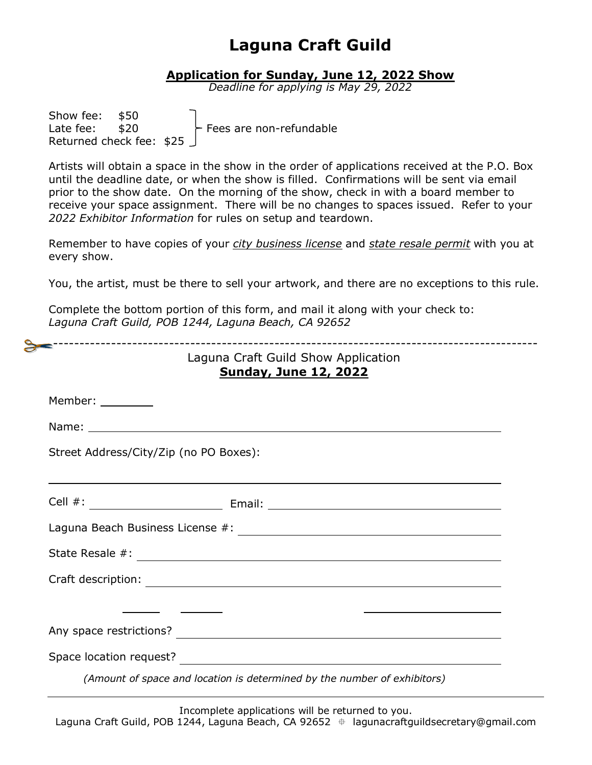#### **Application for Sunday, June 12, 2022 Show**

*Deadline for applying is May 29, 2022*

| \$50<br>Show fee:<br>- Fees are non-refundable<br>\$20<br>Late fee:<br>Returned check fee: \$25                                                                                                                                                                                                                                                                                                                                             |
|---------------------------------------------------------------------------------------------------------------------------------------------------------------------------------------------------------------------------------------------------------------------------------------------------------------------------------------------------------------------------------------------------------------------------------------------|
| Artists will obtain a space in the show in the order of applications received at the P.O. Box<br>until the deadline date, or when the show is filled. Confirmations will be sent via email<br>prior to the show date. On the morning of the show, check in with a board member to<br>receive your space assignment. There will be no changes to spaces issued. Refer to your<br>2022 Exhibitor Information for rules on setup and teardown. |
| Remember to have copies of your <i>city business license</i> and <i>state resale permit</i> with you at<br>every show.                                                                                                                                                                                                                                                                                                                      |
| You, the artist, must be there to sell your artwork, and there are no exceptions to this rule.                                                                                                                                                                                                                                                                                                                                              |
| Complete the bottom portion of this form, and mail it along with your check to:<br>Laguna Craft Guild, POB 1244, Laguna Beach, CA 92652                                                                                                                                                                                                                                                                                                     |
| Laguna Craft Guild Show Application                                                                                                                                                                                                                                                                                                                                                                                                         |
| <b>Sunday, June 12, 2022</b>                                                                                                                                                                                                                                                                                                                                                                                                                |
| Member: when the set of the set of the set of the set of the set of the set of the set of the set o                                                                                                                                                                                                                                                                                                                                         |
| Name: when the contract of the contract of the contract of the contract of the contract of the contract of the                                                                                                                                                                                                                                                                                                                              |
| Street Address/City/Zip (no PO Boxes):                                                                                                                                                                                                                                                                                                                                                                                                      |
|                                                                                                                                                                                                                                                                                                                                                                                                                                             |
| Laguna Beach Business License #:                                                                                                                                                                                                                                                                                                                                                                                                            |
|                                                                                                                                                                                                                                                                                                                                                                                                                                             |
|                                                                                                                                                                                                                                                                                                                                                                                                                                             |
|                                                                                                                                                                                                                                                                                                                                                                                                                                             |
|                                                                                                                                                                                                                                                                                                                                                                                                                                             |
| Space location request?<br><u> Space location</u> request?                                                                                                                                                                                                                                                                                                                                                                                  |
| (Amount of space and location is determined by the number of exhibitors)                                                                                                                                                                                                                                                                                                                                                                    |
|                                                                                                                                                                                                                                                                                                                                                                                                                                             |

Incomplete applications will be returned to you. Laguna Craft Guild, POB 1244, Laguna Beach, CA 92652  $\#$  lagunacraftguildsecretary@gmail.com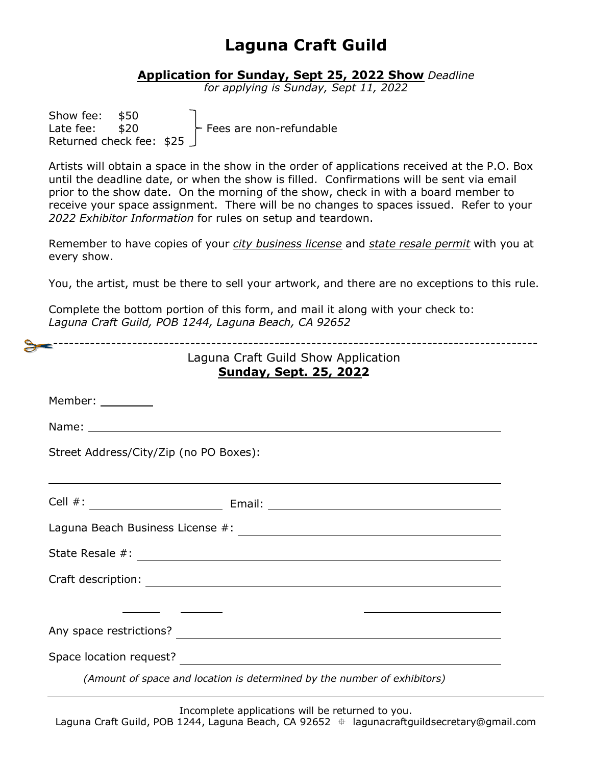#### **Application for Sunday, Sept 25, 2022 Show** *Deadline*

*for applying is Sunday, Sept 11, 2022*

| Show fee: \$50  |                           |                         |  |
|-----------------|---------------------------|-------------------------|--|
| Late fee: $$20$ |                           | Fees are non-refundable |  |
|                 | Returned check fee: $$25$ |                         |  |

Artists will obtain a space in the show in the order of applications received at the P.O. Box until the deadline date, or when the show is filled. Confirmations will be sent via email prior to the show date. On the morning of the show, check in with a board member to receive your space assignment. There will be no changes to spaces issued. Refer to your *2022 Exhibitor Information* for rules on setup and teardown.

Remember to have copies of your *city business license* and *state resale permit* with you at every show.

You, the artist, must be there to sell your artwork, and there are no exceptions to this rule.

Complete the bottom portion of this form, and mail it along with your check to: *Laguna Craft Guild, POB 1244, Laguna Beach, CA 92652*

|                                        | Laguna Craft Guild Show Application<br><b>Sunday, Sept. 25, 2022</b>     |
|----------------------------------------|--------------------------------------------------------------------------|
| Member: _________                      |                                                                          |
|                                        |                                                                          |
| Street Address/City/Zip (no PO Boxes): |                                                                          |
|                                        |                                                                          |
|                                        |                                                                          |
|                                        |                                                                          |
|                                        |                                                                          |
|                                        |                                                                          |
|                                        |                                                                          |
|                                        | Space location request?                                                  |
|                                        | (Amount of space and location is determined by the number of exhibitors) |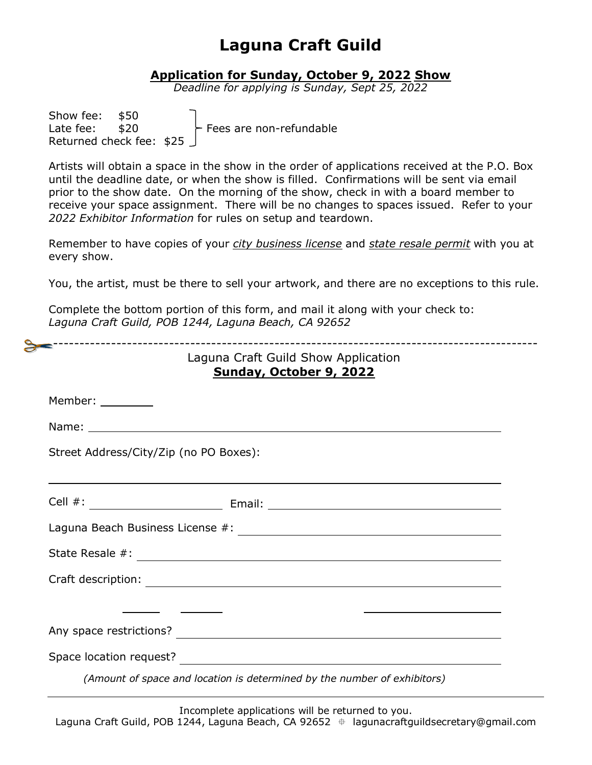#### **Application for Sunday, October 9, 2022 Show**

*Deadline for applying is Sunday, Sept 25, 2022*

| Show fee: \$50            |  |                         |
|---------------------------|--|-------------------------|
| Late fee: $$20$           |  | Fees are non-refundable |
| Returned check fee: $$25$ |  |                         |

Artists will obtain a space in the show in the order of applications received at the P.O. Box until the deadline date, or when the show is filled. Confirmations will be sent via email prior to the show date. On the morning of the show, check in with a board member to receive your space assignment. There will be no changes to spaces issued. Refer to your *2022 Exhibitor Information* for rules on setup and teardown.

Remember to have copies of your *city business license* and *state resale permit* with you at every show.

You, the artist, must be there to sell your artwork, and there are no exceptions to this rule.

Complete the bottom portion of this form, and mail it along with your check to: *Laguna Craft Guild, POB 1244, Laguna Beach, CA 92652*

|                                        | Laguna Craft Guild Show Application<br>Sunday, October 9, 2022           |
|----------------------------------------|--------------------------------------------------------------------------|
| Member: ________                       |                                                                          |
|                                        |                                                                          |
| Street Address/City/Zip (no PO Boxes): |                                                                          |
|                                        |                                                                          |
|                                        |                                                                          |
|                                        |                                                                          |
|                                        |                                                                          |
|                                        |                                                                          |
|                                        |                                                                          |
|                                        | (Amount of space and location is determined by the number of exhibitors) |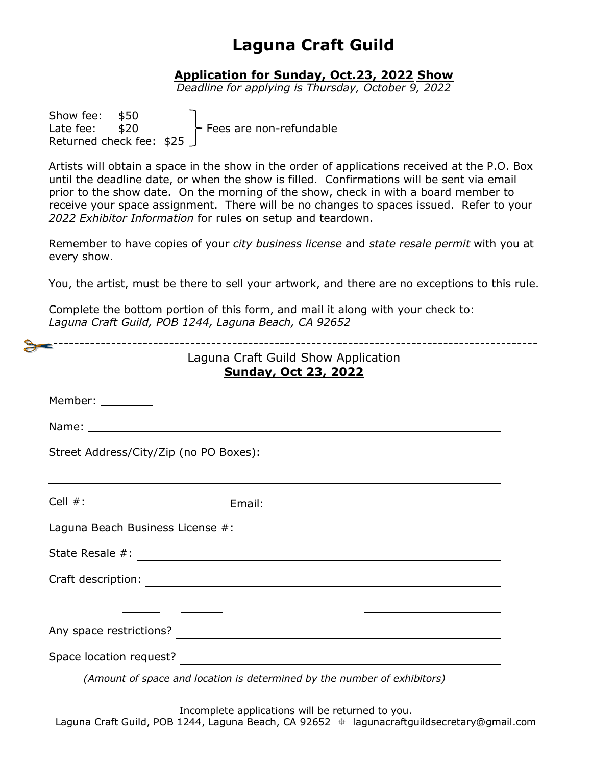### **Application for Sunday, Oct.23, 2022 Show**

*Deadline for applying is Thursday, October 9, 2022*

Show fee: \$50 Late fee:  $$20$  Fees are non-refundable Returned check fee: \$25

Artists will obtain a space in the show in the order of applications received at the P.O. Box until the deadline date, or when the show is filled. Confirmations will be sent via email prior to the show date. On the morning of the show, check in with a board member to receive your space assignment. There will be no changes to spaces issued. Refer to your *2022 Exhibitor Information* for rules on setup and teardown.

Remember to have copies of your *city business license* and *state resale permit* with you at every show.

You, the artist, must be there to sell your artwork, and there are no exceptions to this rule.

Complete the bottom portion of this form, and mail it along with your check to: *Laguna Craft Guild, POB 1244, Laguna Beach, CA 92652*

|                                        | -------------------------------------<br>Laguna Craft Guild Show Application<br><b>Sunday, Oct 23, 2022</b> |
|----------------------------------------|-------------------------------------------------------------------------------------------------------------|
| Member: _________                      |                                                                                                             |
|                                        |                                                                                                             |
| Street Address/City/Zip (no PO Boxes): |                                                                                                             |
|                                        |                                                                                                             |
|                                        |                                                                                                             |
|                                        |                                                                                                             |
|                                        |                                                                                                             |
|                                        |                                                                                                             |
|                                        |                                                                                                             |
|                                        |                                                                                                             |
|                                        | (Amount of space and location is determined by the number of exhibitors)                                    |